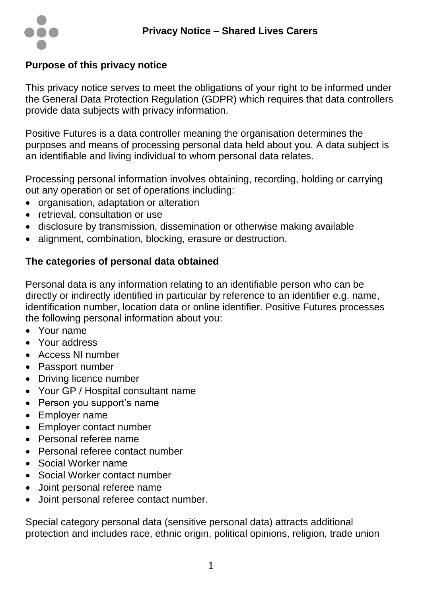

## **Purpose of this privacy notice**

This privacy notice serves to meet the obligations of your right to be informed under the General Data Protection Regulation (GDPR) which requires that data controllers provide data subjects with privacy information.

Positive Futures is a data controller meaning the organisation determines the purposes and means of processing personal data held about you. A data subject is an identifiable and living individual to whom personal data relates.

Processing personal information involves obtaining, recording, holding or carrying out any operation or set of operations including:

- organisation, adaptation or alteration
- retrieval, consultation or use
- disclosure by transmission, dissemination or otherwise making available
- alignment, combination, blocking, erasure or destruction.

# **The categories of personal data obtained**

Personal data is any information relating to an identifiable person who can be directly or indirectly identified in particular by reference to an identifier e.g. name, identification number, location data or online identifier. Positive Futures processes the following personal information about you:

- Your name
- Your address
- Access NI number
- Passport number
- Driving licence number
- Your GP / Hospital consultant name
- Person you support's name
- Employer name
- Employer contact number
- Personal referee name
- Personal referee contact number
- Social Worker name
- Social Worker contact number
- Joint personal referee name
- Joint personal referee contact number.

Special category personal data (sensitive personal data) attracts additional protection and includes race, ethnic origin, political opinions, religion, trade union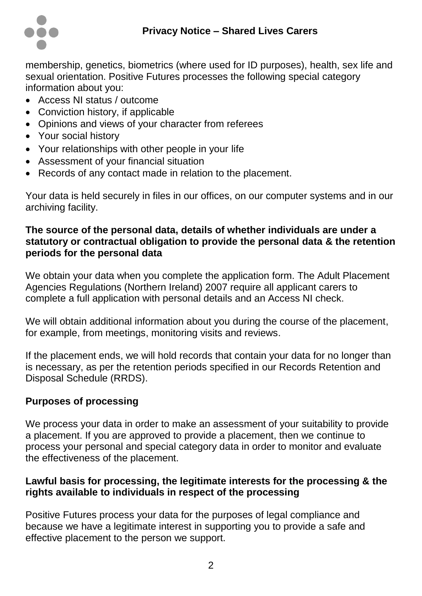

membership, genetics, biometrics (where used for ID purposes), health, sex life and sexual orientation. Positive Futures processes the following special category information about you:

- Access NI status / outcome
- Conviction history, if applicable
- Opinions and views of your character from referees
- Your social history
- Your relationships with other people in your life
- Assessment of your financial situation
- Records of any contact made in relation to the placement.

Your data is held securely in files in our offices, on our computer systems and in our archiving facility.

## **The source of the personal data, details of whether individuals are under a statutory or contractual obligation to provide the personal data & the retention periods for the personal data**

We obtain your data when you complete the application form. The Adult Placement Agencies Regulations (Northern Ireland) 2007 require all applicant carers to complete a full application with personal details and an Access NI check.

We will obtain additional information about you during the course of the placement, for example, from meetings, monitoring visits and reviews.

If the placement ends, we will hold records that contain your data for no longer than is necessary, as per the retention periods specified in our Records Retention and Disposal Schedule (RRDS).

# **Purposes of processing**

We process your data in order to make an assessment of your suitability to provide a placement. If you are approved to provide a placement, then we continue to process your personal and special category data in order to monitor and evaluate the effectiveness of the placement.

## **Lawful basis for processing, the legitimate interests for the processing & the rights available to individuals in respect of the processing**

Positive Futures process your data for the purposes of legal compliance and because we have a legitimate interest in supporting you to provide a safe and effective placement to the person we support.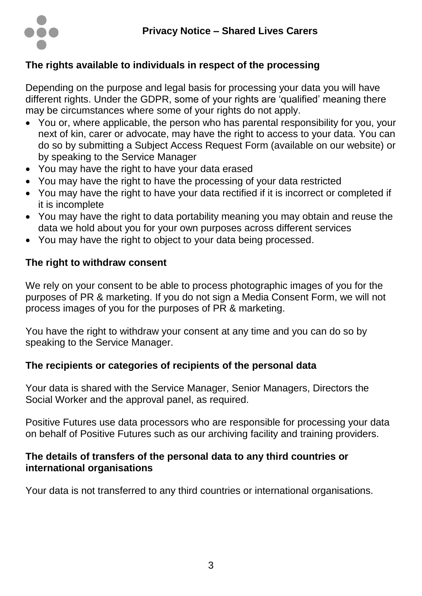

# **The rights available to individuals in respect of the processing**

Depending on the purpose and legal basis for processing your data you will have different rights. Under the GDPR, some of your rights are 'qualified' meaning there may be circumstances where some of your rights do not apply.

- You or, where applicable, the person who has parental responsibility for you, your next of kin, carer or advocate, may have the right to access to your data. You can do so by submitting a Subject Access Request Form (available on our website) or by speaking to the Service Manager
- You may have the right to have your data erased
- You may have the right to have the processing of your data restricted
- You may have the right to have your data rectified if it is incorrect or completed if it is incomplete
- You may have the right to data portability meaning you may obtain and reuse the data we hold about you for your own purposes across different services
- You may have the right to object to your data being processed.

## **The right to withdraw consent**

We rely on your consent to be able to process photographic images of you for the purposes of PR & marketing. If you do not sign a Media Consent Form, we will not process images of you for the purposes of PR & marketing.

You have the right to withdraw your consent at any time and you can do so by speaking to the Service Manager.

#### **The recipients or categories of recipients of the personal data**

Your data is shared with the Service Manager, Senior Managers, Directors the Social Worker and the approval panel, as required.

Positive Futures use data processors who are responsible for processing your data on behalf of Positive Futures such as our archiving facility and training providers.

#### **The details of transfers of the personal data to any third countries or international organisations**

Your data is not transferred to any third countries or international organisations.